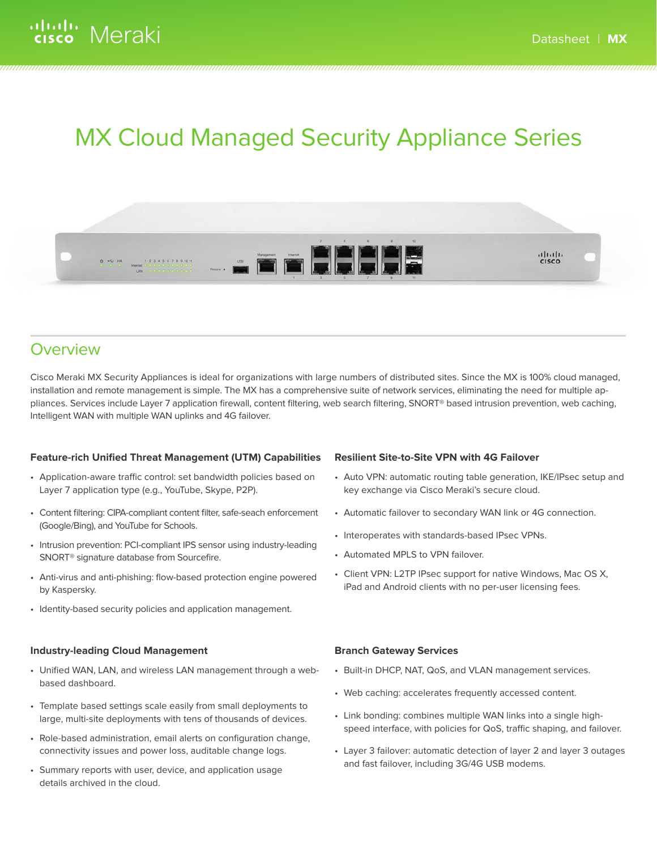# MX Cloud Managed Security Appliance Series



### **Overview**

Cisco Meraki MX Security Appliances is ideal for organizations with large numbers of distributed sites. Since the MX is 100% cloud managed, installation and remote management is simple. The MX has a comprehensive suite of network services, eliminating the need for multiple appliances. Services include Layer 7 application firewall, content filtering, web search filtering, SNORT® based intrusion prevention, web caching, Intelligent WAN with multiple WAN uplinks and 4G failover.

### **Feature-rich Unified Threat Management (UTM) Capabilities**

- Application-aware traffic control: set bandwidth policies based on Layer 7 application type (e.g., YouTube, Skype, P2P).
- Content filtering: CIPA-compliant content filter, safe-seach enforcement (Google/Bing), and YouTube for Schools.
- Intrusion prevention: PCI-compliant IPS sensor using industry-leading SNORT® signature database from Sourcefire.
- Anti-virus and anti-phishing: flow-based protection engine powered by Kaspersky.
- Identity-based security policies and application management.

### **Industry-leading Cloud Management**

- Unified WAN, LAN, and wireless LAN management through a webbased dashboard.
- Template based settings scale easily from small deployments to large, multi-site deployments with tens of thousands of devices.
- Role-based administration, email alerts on configuration change, connectivity issues and power loss, auditable change logs.
- Summary reports with user, device, and application usage details archived in the cloud.

### **Resilient Site-to-Site VPN with 4G Failover**

- Auto VPN: automatic routing table generation, IKE/IPsec setup and key exchange via Cisco Meraki's secure cloud.
- Automatic failover to secondary WAN link or 4G connection.
- Interoperates with standards-based IPsec VPNs.
- Automated MPLS to VPN failover.
- Client VPN: L2TP IPsec support for native Windows, Mac OS X, iPad and Android clients with no per-user licensing fees.

### **Branch Gateway Services**

- Built-in DHCP, NAT, QoS, and VLAN management services.
- Web caching: accelerates frequently accessed content.
- Link bonding: combines multiple WAN links into a single highspeed interface, with policies for QoS, traffic shaping, and failover.
- Layer 3 failover: automatic detection of layer 2 and layer 3 outages and fast failover, including 3G/4G USB modems.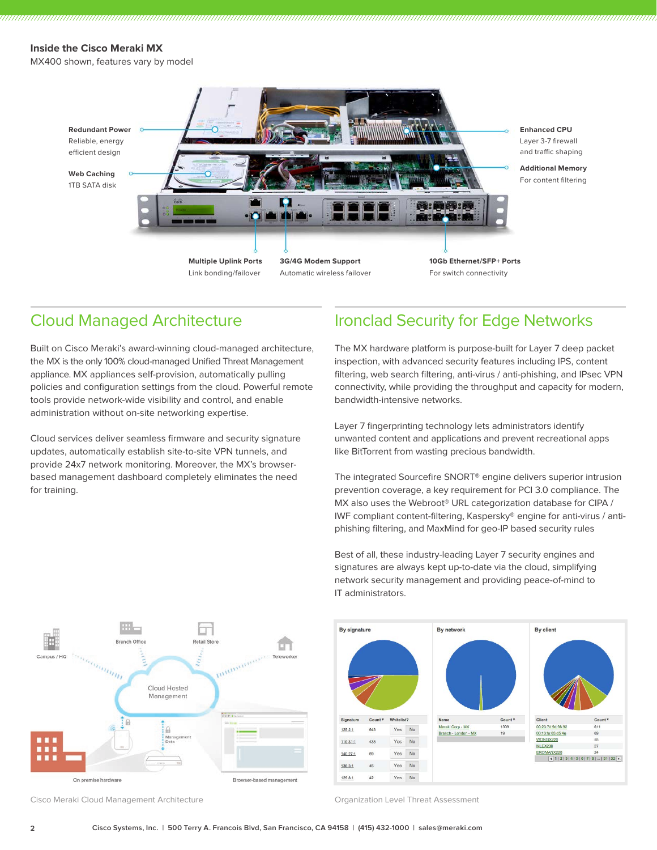### **Inside the Cisco Meraki MX**

MX400 shown, features vary by model



Cloud Managed Architecture

Built on Cisco Meraki's award-winning cloud-managed architecture, the MX is the only 100% cloud-managed Unified Threat Management appliance. MX appliances self-provision, automatically pulling policies and configuration settings from the cloud. Powerful remote tools provide network-wide visibility and control, and enable administration without on-site networking expertise.

Cloud services deliver seamless firmware and security signature updates, automatically establish site-to-site VPN tunnels, and provide 24x7 network monitoring. Moreover, the MX's browserbased management dashboard completely eliminates the need for training.

### Ironclad Security for Edge Networks

The MX hardware platform is purpose-built for Layer 7 deep packet inspection, with advanced security features including IPS, content filtering, web search filtering, anti-virus / anti-phishing, and IPsec VPN connectivity, while providing the throughput and capacity for modern, bandwidth-intensive networks.

Layer 7 fingerprinting technology lets administrators identify unwanted content and applications and prevent recreational apps like BitTorrent from wasting precious bandwidth.

The integrated Sourcefire SNORT® engine delivers superior intrusion prevention coverage, a key requirement for PCI 3.0 compliance. The MX also uses the Webroot® URL categorization database for CIPA / IWF compliant content-filtering, Kaspersky® engine for anti-virus / antiphishing filtering, and MaxMind for geo-IP based security rules



Best of all, these industry-leading Layer 7 security engines and signatures are always kept up-to-date via the cloud, simplifying network security management and providing peace-of-mind to IT administrators.



Cisco Meraki Cloud Management Architecture **City Construction Construction Level Threat Assessment**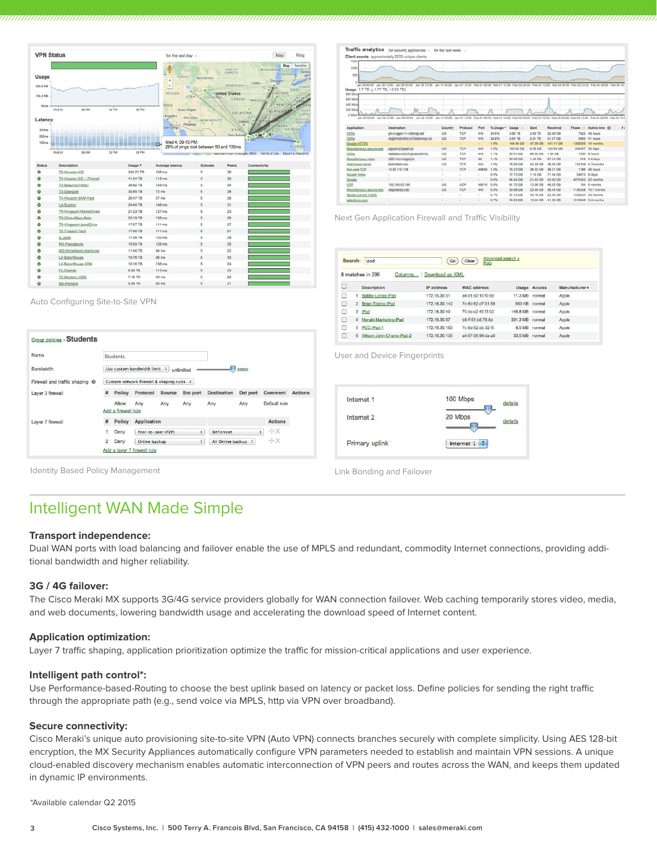|                                         | <b>VPN Status</b>  |                           |       |                | for the last day -                                                                             |                                                      |                                                                     | Ring<br>Map.                                                                                                                                                                   |
|-----------------------------------------|--------------------|---------------------------|-------|----------------|------------------------------------------------------------------------------------------------|------------------------------------------------------|---------------------------------------------------------------------|--------------------------------------------------------------------------------------------------------------------------------------------------------------------------------|
| Usage<br>335.6 MB<br>196.3 MR<br>None - |                    |                           |       |                | w<br>IDAHO<br>$\ddot{}$<br>$\sim$<br>NEVADA<br>HATU.<br><b>RNIA</b>                            | WYOMING<br>COLORADO                                  | SOUTH<br>DAKOTA<br>NEBRASKA<br><sup>e</sup> inited States<br>KANSAT | Map  <br>Satellite<br>WISCONSIN<br>Toronto<br><b>MICHIGAN</b><br>Chicago<br><b>JOWA</b><br><b>PENNS</b><br><b>ILLING</b><br>OHIO<br>INDIANA<br>MISSOUL <sup>®</sup><br>KENTURK |
| Latency<br>300ms<br>200ms<br>100ms      | Wed 04             | <b>DO AM</b>              | 12 PM | co ina         | OLas Vegas<br>Angeles<br><b>ARIZONA</b><br>$\circ$<br>Phoenix<br>San Diego<br>Wed 4, 09-10 PM: | NEW MEXICO<br>29% of pings took between 50 and 100ms | OKEAHOMA<br>TEXAS<br><b>Anderson</b>                                | NORT<br><b>ACNIGS</b><br>SOUTH<br><b>NAVE &amp;</b><br><b>Dallan</b><br><b>CANOLINA</b><br><b>SBAMA</b><br>GEORGIA<br><b>DAY 10 -</b><br>$\bullet$<br>$b = 10n$<br>FLORIDA     |
|                                         | Wed 04             | DD AM                     | 12.7% | CO FINA        |                                                                                                |                                                      |                                                                     | wap casare poro eccepte, INEGI Terms of Use   Report a map error                                                                                                               |
| Status                                  | <b>Description</b> |                           |       | Usage <b>v</b> | Average latency                                                                                | Subnets                                              | Poers                                                               | Connectivity                                                                                                                                                                   |
|                                         |                    |                           |       |                | $108 \text{ ms}$                                                                               | 5                                                    | 38                                                                  |                                                                                                                                                                                |
| ۵                                       | TX-Houston-HQ      |                           |       | 248.23 TB      |                                                                                                |                                                      |                                                                     |                                                                                                                                                                                |
| ۰                                       |                    | TX-Houston-DC -- Firewall |       | 41.24 TB       | 118 ms                                                                                         | 5                                                    | 36                                                                  |                                                                                                                                                                                |
| ō                                       |                    | TX-Beaumont-Main          |       | 39.82 TB       | 128 ms                                                                                         | s                                                    | 34                                                                  |                                                                                                                                                                                |
| ٥                                       | <b>TX-Deerpark</b> |                           |       | 30.85 TB       | $72$ ms                                                                                        | s                                                    | 28                                                                  |                                                                                                                                                                                |
| o                                       |                    | TX-Houston-BAM-Yard       |       | 26.47 TB       | 57 <sub>ms</sub>                                                                               | 5                                                    | 28                                                                  |                                                                                                                                                                                |
| ٠                                       | LA-Sulphur         |                           |       | 24.44 TB       | 148 ms                                                                                         | s.                                                   | 31                                                                  |                                                                                                                                                                                |
| O                                       |                    | TN-Kingsport-MarketStreet |       | 21.23 TB       | 127 ms                                                                                         | s                                                    | 23                                                                  |                                                                                                                                                                                |
| o                                       |                    | TX-Clute-Miken-Main       |       | 20.19 TB       | $138$ ms.                                                                                      | s                                                    | 28                                                                  |                                                                                                                                                                                |
| ۵                                       |                    | TN-Kingsport-JaredOrive   |       | 17.67 TB       | 111 ms                                                                                         | $\overline{\phantom{a}}$                             | 27                                                                  |                                                                                                                                                                                |
| o                                       | TX-Freeport-Yard   |                           |       | 17.66 TB       | $111 \text{ ms}$                                                                               | s                                                    | 21                                                                  |                                                                                                                                                                                |
| Ó                                       | IL: Joliet         |                           |       | 17.46 TB       | 120 ms                                                                                         | ś                                                    | 28                                                                  |                                                                                                                                                                                |
| o                                       | MS-Pascagoula      |                           |       | 15.59 TB       | 126 ms                                                                                         | $\overline{5}$                                       | 25                                                                  |                                                                                                                                                                                |
| ۰                                       |                    | MD-WhiteMarsh-Baltimore   |       | 11.46 TB       | 64 ms                                                                                          | s                                                    | $22^{1}$                                                            |                                                                                                                                                                                |
| ٥                                       | LA-BatonRouge      |                           |       | 10.78 TB       | 96 ms                                                                                          | s                                                    | 33                                                                  |                                                                                                                                                                                |
| ۵                                       |                    | LA-BatonRouge-XOM         |       | 10.16 TB       | $138$ ms.                                                                                      | $\overline{5}$                                       | 24                                                                  |                                                                                                                                                                                |
| $\circ$                                 | FL-Orlando         |                           |       | 9.69 TB        | 113 ms                                                                                         | 5                                                    | 23                                                                  |                                                                                                                                                                                |
| ٥                                       | TX-Baytown-XOM     |                           |       | 7.45 TB        | 93 ms                                                                                          | s                                                    | 22                                                                  |                                                                                                                                                                                |

| 1500                                                                                                                                                                                                                                                           |                                                                        |             |            |        |              |                        |                      |                      |            |                                                                                                                                  |  |
|----------------------------------------------------------------------------------------------------------------------------------------------------------------------------------------------------------------------------------------------------------------|------------------------------------------------------------------------|-------------|------------|--------|--------------|------------------------|----------------------|----------------------|------------|----------------------------------------------------------------------------------------------------------------------------------|--|
| 1000                                                                                                                                                                                                                                                           |                                                                        |             |            |        |              |                        |                      |                      |            |                                                                                                                                  |  |
|                                                                                                                                                                                                                                                                |                                                                        |             |            |        |              |                        |                      |                      |            |                                                                                                                                  |  |
| 500                                                                                                                                                                                                                                                            |                                                                        |             |            |        |              |                        |                      |                      |            |                                                                                                                                  |  |
|                                                                                                                                                                                                                                                                |                                                                        |             |            |        |              |                        |                      |                      |            |                                                                                                                                  |  |
| Usage 7.7 TB (11.77 TB, 15.93 TB)                                                                                                                                                                                                                              | 00:00 fit rel. 00:01 0E rel. 00:00 0E rel. 00:01 90 rel. 00:00 90 rel. |             |            |        |              |                        |                      |                      |            | Jan 31 12:00 Feb 01 00:00 Feb 01 12:00 Feb 02 00:00 Feb 02 12:00 Feb 03 00:00 Feb 03 12:00 Feb 04 00:00 Feb 04 12:0              |  |
| <b>BOO MINK</b>                                                                                                                                                                                                                                                |                                                                        |             |            |        |              |                        |                      |                      |            |                                                                                                                                  |  |
| <b>ECO Mting</b>                                                                                                                                                                                                                                               |                                                                        |             |            |        |              |                        |                      |                      |            |                                                                                                                                  |  |
|                                                                                                                                                                                                                                                                |                                                                        |             |            |        |              |                        |                      |                      |            |                                                                                                                                  |  |
| <b>400 Mb/s</b>                                                                                                                                                                                                                                                |                                                                        |             |            |        |              |                        |                      |                      |            |                                                                                                                                  |  |
| 200 More                                                                                                                                                                                                                                                       |                                                                        |             |            |        |              |                        |                      |                      |            |                                                                                                                                  |  |
| D Mole                                                                                                                                                                                                                                                         | 00:51:00:00 00:00:00 nat. 00:51:05 nat. 00:00:00 pal.                  |             |            |        |              |                        |                      |                      |            | Jan 31 00:00 Jan 31 12:00 Feb 01 00:00 Feb 01 12:00 Feb 02 00:00 Feb 02 12:00 Feb 03 00:00 Feb 03 12:00 Feb 04 00:00 Feb 04 12:0 |  |
|                                                                                                                                                                                                                                                                |                                                                        |             |            |        |              |                        |                      |                      |            |                                                                                                                                  |  |
|                                                                                                                                                                                                                                                                |                                                                        |             |            |        |              |                        |                      |                      |            |                                                                                                                                  |  |
|                                                                                                                                                                                                                                                                | Deatination                                                            | Country     | Protocol   | Port   | % Usage *    | Usage ()               | <b>Sent</b>          | Received             | Flows<br>n | Active time (9)                                                                                                                  |  |
|                                                                                                                                                                                                                                                                | ally on appear for a high-radio and                                    | US          | TGP        | 443    | 34.5%        | 2.66 TB                | 2.63 TB              | 32,89,089            |            | 7622 46 hours                                                                                                                    |  |
|                                                                                                                                                                                                                                                                | stup meghallist of challenges rat                                      | US.         | TOP        | 443    | 32.9%        | $2.54$ TB              | 2.51 TB              | 31.27 GB             |            | 3083 41 hours                                                                                                                    |  |
|                                                                                                                                                                                                                                                                |                                                                        | ۰           |            | ÷      | 1.9%         | 148.49 GB              | 47.38 GB             | 101.11.00            | 1392026    | 14 months                                                                                                                        |  |
|                                                                                                                                                                                                                                                                | <b><i>ANGEMENT PANARA DK</i></b>                                       | <b>Litt</b> | TCP        | 443    | $+8$         | 140.62.08              | 6.09.08              | 134.54.00            | 649457     | 35 days                                                                                                                          |  |
|                                                                                                                                                                                                                                                                | stategie and all praiseds to                                           | <b>US</b>   | TCP        | 443    | 1.1%         | 90.41 (38)             | <b>BR 46 GB</b>      | 1.94 GB              |            | 1500 B hours                                                                                                                     |  |
|                                                                                                                                                                                                                                                                |                                                                        | Ltd         | TOP        | BD.    | 1.1%         | 89.00 GB               | 1.46 GB              | 87.54 GBI            |            |                                                                                                                                  |  |
|                                                                                                                                                                                                                                                                | ART Incompacts<br><b>Bolk When any</b>                                 | US          | тея        | 443    | 1.0%         | 78 BS GB               | 40.39 GB             | 38.58.CBL            | 734309     | <b>B18</b> 4.6 days<br>4.3 months                                                                                                |  |
|                                                                                                                                                                                                                                                                | 10.92.110.138                                                          | ÷           | TCP        | 49948  | 1.0%         | 78.23 GS               | 38.02 GB             | 38.25 GBL            | 1788       | 46 hours.                                                                                                                        |  |
|                                                                                                                                                                                                                                                                | ÷                                                                      | ٠           | $\sim$     | ×      | 0.9%         | 72.73.08               | 1.19.08              | 71.54 08             |            | 34675 8 days                                                                                                                     |  |
|                                                                                                                                                                                                                                                                |                                                                        |             |            |        |              |                        |                      |                      |            |                                                                                                                                  |  |
|                                                                                                                                                                                                                                                                | $\sim$ .                                                               | $\sim$ .    | $\sim$     | $\sim$ | 0.8%         | 64.42 GB               | 21.42.08             | 43.00.08             |            | 4975343 20 months                                                                                                                |  |
|                                                                                                                                                                                                                                                                | 192.195.83.195                                                         | US.         | <b>UDP</b> | 48919  | 0.8%         | 61,72.08               | 13.08 08             | 48.63 GB             |            | 104 5 months                                                                                                                     |  |
|                                                                                                                                                                                                                                                                | <b>VENT PARTIES FAIR</b>                                               | US          | TCP        | 443    | 0.8%         | 59.88 GB               | 23.39 GB             | 36.49 GB             |            | 1135528 10.7 months                                                                                                              |  |
| Application<br>CDNs<br>CDNs<br>Google HTTPS<br>Miscellaneous secure web<br><b>CDNs</b><br>Miscellaneous video<br>Web based email<br>Non-web TCP<br>Google Video<br>Google<br><b>UDP</b><br>Miscellaneous secure web<br>Menai Control Traffic<br>salesforce com | ٠                                                                      | ÷           | $\sim$     | ٠      | 0.7%<br>0.7% | 57.72 CB<br>54, 63, 08 | 35.16 GB<br>13.04.08 | 22.68 CB<br>41.50 CS |            | 1452833 33 months<br>1819548 5.4 months                                                                                          |  |

Next Gen Application Firewall and Traffic Visibility

| Search:   |                | ipad                        | Go              | Advanced search »<br>Clear<br>Help |               |              |                |  |
|-----------|----------------|-----------------------------|-----------------|------------------------------------|---------------|--------------|----------------|--|
|           |                | 8 matches in 299<br>Columns | Download as XML |                                    |               |              |                |  |
| E         |                | <b>Description</b>          | IP address      | <b>MAC</b> address                 |               | Usage Access | Manufacturer A |  |
| 0         |                | Bobby-Longs-iPad            | 172.16.30.51    | a4:d1:d2:10:f0:9d                  | 11.3 MB       | normal       | Apple          |  |
| ▣         | $\overline{2}$ | Brian-Tobins-iPad           | 172.16.30.142   | 7c:6d:62:d7:91:58                  | <b>853 KB</b> | normal       | Apple          |  |
| Œ         | 3              | iPad                        | 172.16.30.49    | 70:de:e2:40:f3:02                  | 145.8 MB      | normal       | Apple          |  |
| <b>CO</b> | 4              | Meraki-Marketing-iPad       | 172.16.30.67    | b8:ff:61:b8:78:8d                  | 331.3 MB      | normal       | Apple          |  |
| 8         | 5.             | PCC-Pad-1                   | 172.16.30.183   | 7c:6d:62:db:32:f5                  | 8.5 MB        | normal       | Apple          |  |
| ▣         | ĥ              | Wilson-John-Chans-iPad-2    | 172.16.30.135   | a4:67:06:99:da:a8                  | 33.5 MB       | normal       | Apple          |  |

User and Device Fingerprints



Identity Based Policy Management **Link Bonding and Failover** Link Bonding and Failover

Auto Configuring Site-to-Site VPN

Students

Firewall and traffic shaping @ [Custom network firewall & shaping rules :

Allow Any

Add a layer 7 firewall rule

# Policy Application

Online backup

Add a firewall rule

2 Deny

Use custom bandwidth limit : unlimited

Any Any

1 Deny Peer-to-peer (P2P)  $\qquad \qquad \div$  BitTorrent

details

Any

 $\div$  All Online backup  $\div$ 

Default rule

Actions

÷X

 $\rightarrow$   $\oplus$  X

# Policy Protocol Source Src port Destination Dst port Comment Actions

Any

 $\underline{\textit{Group policies}}\xspace\ensuremath{\mathsf{}}\xspace\ensuremath{\mathsf{}}\xspace\ensuremath{\mathsf{}}\xspace\ensuremath{\mathsf{}}\xspace\ensuremath{\mathsf{}}\xspace\ensuremath{\mathsf{}}\xspace\ensuremath{\mathsf{}}\xspace\ensuremath{\mathsf{}}\xspace\ensuremath{\mathsf{}}\xspace\ensuremath{\mathsf{}}\xspace\ensuremath{\mathsf{}}\xspace\ensuremath{\mathsf{}}\xspace\ensuremath{\mathsf{}}\xspace\ensuremath{\mathsf{}}\xspace\ensuremath{\mathsf{}}\xspace\ensuremath{\mathsf{}}\xspace\ensuremath{\mathsf{}}\xspace\ensuremath{\mathsf{}}\xspace\ensuremath{\mathsf{}}\$ 

Name

Bandwidth

Layer 3 firewall

Layer 7 firewall

### Intelligent WAN Made Simple

### **Transport independence:**

Dual WAN ports with load balancing and failover enable the use of MPLS and redundant, commodity Internet connections, providing additional bandwidth and higher reliability.

### **3G / 4G failover:**

The Cisco Meraki MX supports 3G/4G service providers globally for WAN connection failover. Web caching temporarily stores video, media, and web documents, lowering bandwidth usage and accelerating the download speed of Internet content.

### **Application optimization:**

Layer 7 traffic shaping, application prioritization optimize the traffic for mission-critical applications and user experience.

### **Intelligent path control\*:**

Use Performance-based-Routing to choose the best uplink based on latency or packet loss. Define policies for sending the right traffic through the appropriate path (e.g., send voice via MPLS, http via VPN over broadband).

### **Secure connectivity:**

Cisco Meraki's unique auto provisioning site-to-site VPN (Auto VPN) connects branches securely with complete simplicity. Using AES 128-bit encryption, the MX Security Appliances automatically configure VPN parameters needed to establish and maintain VPN sessions. A unique cloud-enabled discovery mechanism enables automatic interconnection of VPN peers and routes across the WAN, and keeps them updated in dynamic IP environments.

\*Available calendar Q2 2015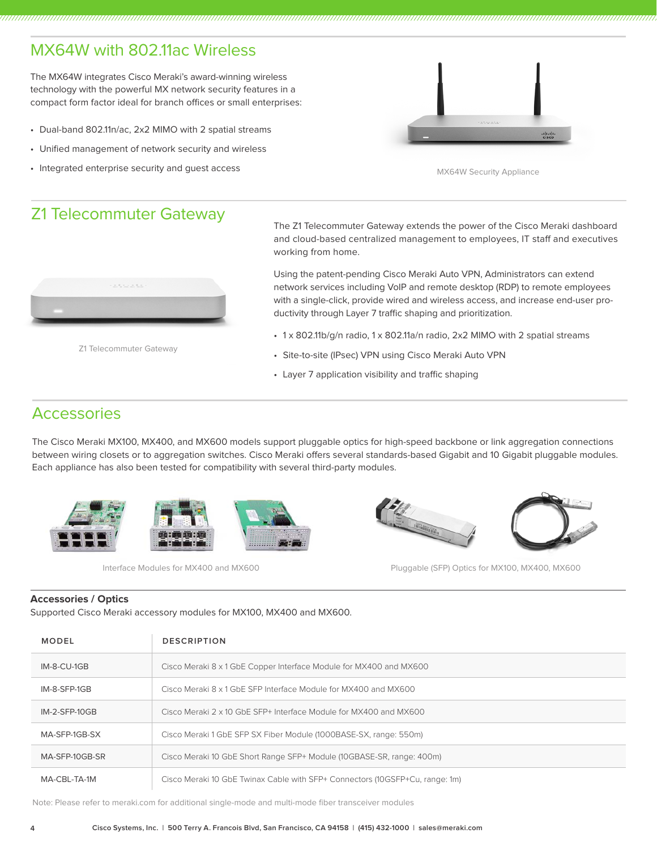# MX64W with 802.11ac Wireless

The MX64W integrates Cisco Meraki's award-winning wireless technology with the powerful MX network security features in a compact form factor ideal for branch offices or small enterprises:

- Dual-band 802.11n/ac, 2x2 MIMO with 2 spatial streams
- Unified management of network security and wireless
- Integrated enterprise security and guest access



MX64W Security Appliance

### Z1 Telecommuter Gateway



Z1 Telecommuter Gateway

The Z1 Telecommuter Gateway extends the power of the Cisco Meraki dashboard and cloud-based centralized management to employees, IT staff and executives working from home.

Using the patent-pending Cisco Meraki Auto VPN, Administrators can extend network services including VoIP and remote desktop (RDP) to remote employees with a single-click, provide wired and wireless access, and increase end-user productivity through Layer 7 traffic shaping and prioritization.

- 1 x 802.11b/g/n radio, 1 x 802.11a/n radio, 2x2 MIMO with 2 spatial streams
- Site-to-site (IPsec) VPN using Cisco Meraki Auto VPN
- Layer 7 application visibility and traffic shaping

### **Accessories**

The Cisco Meraki MX100, MX400, and MX600 models support pluggable optics for high-speed backbone or link aggregation connections between wiring closets or to aggregation switches. Cisco Meraki offers several standards-based Gigabit and 10 Gigabit pluggable modules. Each appliance has also been tested for compatibility with several third-party modules.



Interface Modules for MX400 and MX600

Pluggable (SFP) Optics for MX100, MX400, MX600

### **Accessories / Optics**

Supported Cisco Meraki accessory modules for MX100, MX400 and MX600.

| MODEL                                                                               | <b>DESCRIPTION</b>                                                           |
|-------------------------------------------------------------------------------------|------------------------------------------------------------------------------|
| Cisco Meraki 8 x 1 GbE Copper Interface Module for MX400 and MX600<br>$IM-8-CU-1GB$ |                                                                              |
| IM-8-SFP-1GB<br>Cisco Meraki 8 x 1 GbE SEP Interface Module for MX400 and MX600     |                                                                              |
| $IM-2-SFP-10GB$                                                                     | Cisco Meraki 2 x 10 GbE SEP+ Interface Module for MX400 and MX600            |
| MA-SFP-1GB-SX                                                                       | Cisco Meraki 1 GbE SFP SX Fiber Module (1000BASE-SX, range: 550m)            |
| MA-SFP-10GB-SR                                                                      | Cisco Meraki 10 GbE Short Range SFP+ Module (10GBASE-SR, range: 400m)        |
| MA-CBL-TA-1M                                                                        | Cisco Meraki 10 GbE Twinax Cable with SFP+ Connectors (10GSFP+Cu, range: 1m) |

Note: Please refer to meraki.com for additional single-mode and multi-mode fiber transceiver modules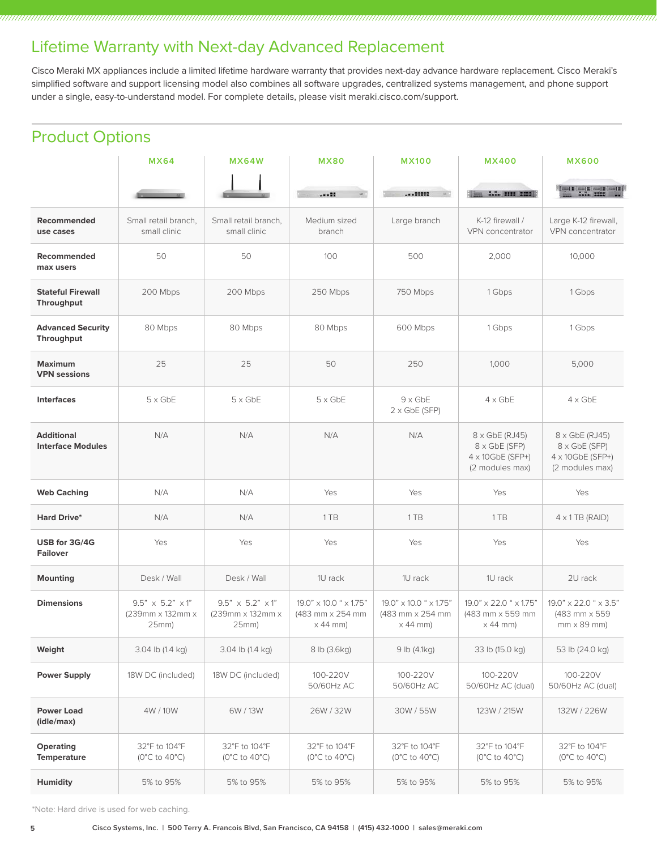## Lifetime Warranty with Next-day Advanced Replacement

Cisco Meraki MX appliances include a limited lifetime hardware warranty that provides next-day advance hardware replacement. Cisco Meraki's simplified software and support licensing model also combines all software upgrades, centralized systems management, and phone support under a single, easy-to-understand model. For complete details, please visit meraki.cisco.com/support.

# Product Options

|                                               | <b>MX64</b>                                               | <b>MX64W</b>                                             | <b>MX80</b>                                                                 | <b>MX100</b>                                                  | <b>MX400</b>                                                                          | <b>MX600</b>                                                                          |
|-----------------------------------------------|-----------------------------------------------------------|----------------------------------------------------------|-----------------------------------------------------------------------------|---------------------------------------------------------------|---------------------------------------------------------------------------------------|---------------------------------------------------------------------------------------|
|                                               |                                                           |                                                          |                                                                             |                                                               | Time A.A. (1999 2222)                                                                 |                                                                                       |
| Recommended<br>use cases                      | Small retail branch,<br>small clinic                      | Small retail branch,<br>small clinic                     | Medium sized<br>branch                                                      | Large branch                                                  | K-12 firewall /<br>VPN concentrator                                                   | Large K-12 firewall,<br>VPN concentrator                                              |
| Recommended<br>max users                      | 50                                                        | 50                                                       | 100                                                                         | 500                                                           | 2,000                                                                                 | 10,000                                                                                |
| <b>Stateful Firewall</b><br>Throughput        | 200 Mbps                                                  | 200 Mbps                                                 | 250 Mbps                                                                    | 750 Mbps                                                      | 1 Gbps                                                                                | 1 Gbps                                                                                |
| <b>Advanced Security</b><br>Throughput        | 80 Mbps                                                   | 80 Mbps                                                  | 80 Mbps                                                                     | 600 Mbps                                                      | 1 Gbps                                                                                | 1 Gbps                                                                                |
| <b>Maximum</b><br><b>VPN</b> sessions         | 25                                                        | 25                                                       | 50                                                                          | 250                                                           | 1,000                                                                                 | 5,000                                                                                 |
| <b>Interfaces</b>                             | $5 \times$ GbE                                            | $5 \times$ GbE                                           | $5 \times$ GbE                                                              | $9 \times$ GbE<br>$2 \times$ GbE (SFP)                        | $4 \times$ GbE                                                                        | $4 \times$ GbE                                                                        |
| <b>Additional</b><br><b>Interface Modules</b> | N/A                                                       | N/A                                                      | N/A                                                                         | N/A                                                           | $8 \times$ GbE (RJ45)<br>8 x GbE (SFP)<br>$4 \times 10$ GbE (SFP+)<br>(2 modules max) | $8 \times$ GbE (RJ45)<br>8 x GbE (SFP)<br>$4 \times 10$ GbE (SFP+)<br>(2 modules max) |
| <b>Web Caching</b>                            | N/A                                                       | N/A                                                      | Yes                                                                         | Yes                                                           | Yes                                                                                   | <b>Yes</b>                                                                            |
| <b>Hard Drive*</b>                            | N/A                                                       | N/A                                                      | 1 TB                                                                        | 1 TB                                                          | 1 TB                                                                                  | $4 \times 1$ TB (RAID)                                                                |
| USB for 3G/4G<br><b>Failover</b>              | Yes                                                       | Yes                                                      | Yes                                                                         | Yes                                                           | Yes                                                                                   | Yes                                                                                   |
| <b>Mounting</b>                               | Desk / Wall                                               | Desk / Wall                                              | 1U rack                                                                     | 1U rack                                                       | 1U rack                                                                               | 2U rack                                                                               |
| <b>Dimensions</b>                             | $9.5" \times 5.2" \times 1"$<br>(239mm x 132mm x<br>25mm) | $9.5" \times 5.2" \times 1"$<br>(239mm x 132mm x<br>25mm | $19.0" \times 10.0$ " $\times 1.75"$<br>(483 mm x 254 mm<br>$\times$ 44 mm) | 19.0" x 10.0 " x 1.75"<br>(483 mm x 254 mm<br>$\times$ 44 mm) | 19.0" x 22.0 " x 1.75"<br>(483 mm x 559 mm)<br>$\times$ 44 mm)                        | 19.0" x 22.0 " x 3.5"<br>(483 mm x 559<br>$mm \times 89$ mm)                          |
| Weight                                        | 3.04 lb (1.4 kg)                                          | 3.04 lb (1.4 kg)                                         | 8 lb (3.6kg)                                                                | 9 lb (4.1kg)                                                  | 33 lb (15.0 kg)                                                                       | 53 lb (24.0 kg)                                                                       |
| <b>Power Supply</b>                           | 18W DC (included)                                         | 18W DC (included)                                        | 100-220V<br>50/60Hz AC                                                      | 100-220V<br>50/60Hz AC                                        | 100-220V<br>50/60Hz AC (dual)                                                         | 100-220V<br>50/60Hz AC (dual)                                                         |
| <b>Power Load</b><br>(idle/max)               | 4W / 10W                                                  | 6W/13W                                                   | 26W/32W                                                                     | 30W / 55W                                                     | 123W / 215W                                                                           | 132W / 226W                                                                           |
| Operating<br><b>Temperature</b>               | 32°F to 104°F<br>( $0^{\circ}$ C to 40 $^{\circ}$ C)      | 32°F to 104°F<br>( $0^{\circ}$ C to $40^{\circ}$ C)      | 32°F to 104°F<br>( $0^{\circ}$ C to 40 $^{\circ}$ C)                        | 32°F to 104°F<br>( $0^{\circ}$ C to $40^{\circ}$ C)           | 32°F to 104°F<br>( $0^{\circ}$ C to 40 $^{\circ}$ C)                                  | 32°F to 104°F<br>( $0^{\circ}$ C to $40^{\circ}$ C)                                   |
| Humidity                                      | 5% to 95%                                                 | 5% to 95%                                                | 5% to 95%                                                                   | 5% to 95%                                                     | 5% to 95%                                                                             | 5% to 95%                                                                             |

\*Note: Hard drive is used for web caching.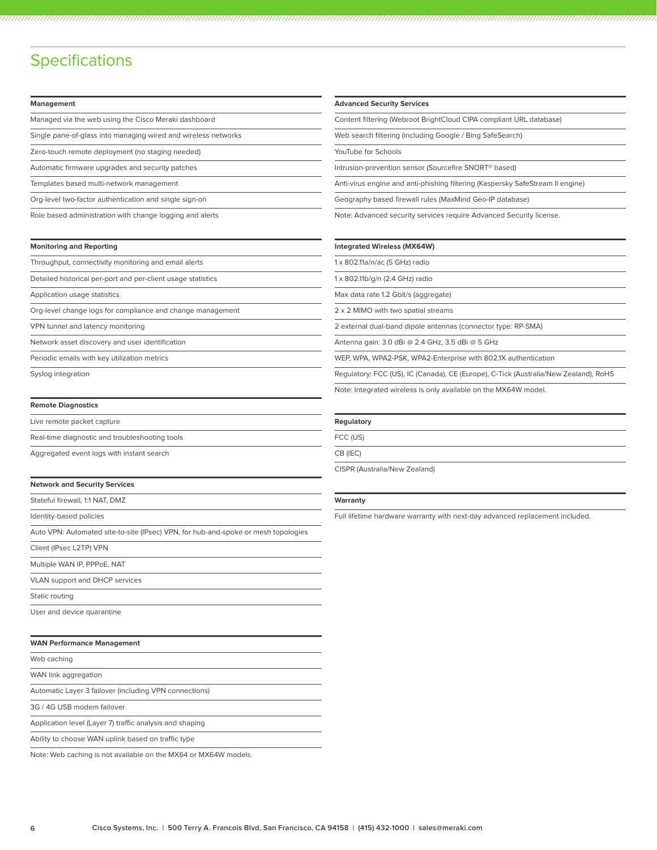### **Specifications**

**Management**

| Managed via the web using the Cisco Meraki dashboard           |
|----------------------------------------------------------------|
| Single pane-of-glass into managing wired and wireless networks |
| Zero-touch remote deployment (no staging needed)               |

Automatic firmware upgrades and security patches

Templates based multi-network management

Org-level two-factor authentication and single sign-on

Role based administration with change logging and alerts

| <b>Monitoring and Reporting</b> |  |  |
|---------------------------------|--|--|
|---------------------------------|--|--|

Throughput, connectivity monitoring and email alerts

Detailed historical per-port and per-client usage statistics

Application usage statistics

Org-level change logs for compliance and change management

VPN tunnel and latency monitoring

Network asset discovery and user identification

Periodic emails with key utilization metrics

Syslog integration

#### **Remote Diagnostics**

| Live remote packet capture                     |
|------------------------------------------------|
| Real-time diagnostic and troubleshooting tools |
| Aggregated event logs with instant search      |

#### **Network and Security Services**

Stateful firewall, 1:1 NAT, DMZ

Identity-based policies

Auto VPN: Automated site-to-site (IPsec) VPN, for hub-and-spoke or mesh topologies

Client (IPsec L2TP) VPN

Multiple WAN IP, PPPoE, NAT

VLAN support and DHCP services

Static routing

User and device quarantine

| <b>WAN Performance Management</b> |  |
|-----------------------------------|--|
|-----------------------------------|--|

Web caching

WAN link aggregation

Automatic Layer 3 failover (including VPN connections)

3G / 4G USB modem failover

Application level (Layer 7) traffic analysis and shaping

Ability to choose WAN uplink based on traffic type

Note: Web caching is not available on the MX64 or MX64W models.

#### **Advanced Security Services**

Content filtering (Webroot BrightCloud CIPA compliant URL database)

Web search filtering (including Google / Bing SafeSearch)

YouTube for Schools

Intrusion-prevention sensor (Sourcefire SNORT® based)

Anti-virus engine and anti-phishing filtering (Kaspersky SafeStream II engine)

Geography based firewall rules (MaxMind Geo-IP database)

Note: Advanced security services require Advanced Security license.

#### **Integrated Wireless (MX64W)**

1 x 802.11a/n/ac (5 GHz) radio

1 x 802.11b/g/n (2.4 GHz) radio

Max data rate 1.2 Gbit/s (aggregate)

2 x 2 MIMO with two spatial streams

2 external dual-band dipole antennas (connector type: RP-SMA)

Antenna gain: 3.0 dBi @ 2.4 GHz, 3.5 dBi @ 5 GHz

WEP, WPA, WPA2-PSK, WPA2-Enterprise with 802.1X authentication

Regulatory: FCC (US), IC (Canada), CE (Europe), C-Tick (Australia/New Zealand), RoHS

Note: Integrated wireless is only available on the MX64W model.

#### **Regulatory**

FCC (US)

CB (IEC)

CISPR (Australia/New Zealand)

#### **Warranty**

Full lifetime hardware warranty with next-day advanced replacement included.